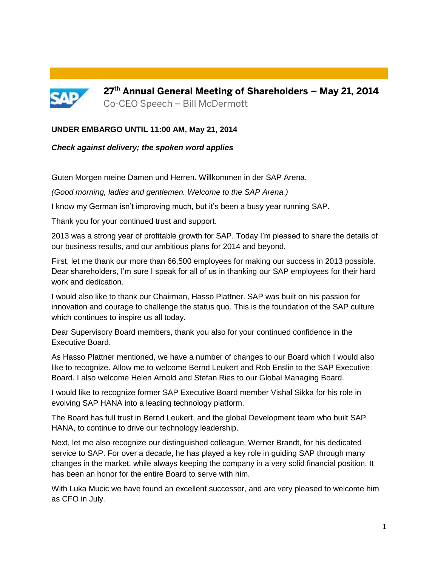

**27 th Annual General Meeting of Shareholders – May 21, 2014** Co-CEO Speech – Bill McDermott

#### **UNDER EMBARGO UNTIL 11:00 AM, May 21, 2014**

#### *Check against delivery; the spoken word applies*

Guten Morgen meine Damen und Herren. Willkommen in der SAP Arena.

*(Good morning, ladies and gentlemen. Welcome to the SAP Arena.)*

I know my German isn't improving much, but it's been a busy year running SAP.

Thank you for your continued trust and support.

2013 was a strong year of profitable growth for SAP. Today I'm pleased to share the details of our business results, and our ambitious plans for 2014 and beyond.

First, let me thank our more than 66,500 employees for making our success in 2013 possible. Dear shareholders, I'm sure I speak for all of us in thanking our SAP employees for their hard work and dedication.

I would also like to thank our Chairman, Hasso Plattner. SAP was built on his passion for innovation and courage to challenge the status quo. This is the foundation of the SAP culture which continues to inspire us all today.

Dear Supervisory Board members, thank you also for your continued confidence in the Executive Board.

As Hasso Plattner mentioned, we have a number of changes to our Board which I would also like to recognize. Allow me to welcome Bernd Leukert and Rob Enslin to the SAP Executive Board. I also welcome Helen Arnold and Stefan Ries to our Global Managing Board.

I would like to recognize former SAP Executive Board member Vishal Sikka for his role in evolving SAP HANA into a leading technology platform.

The Board has full trust in Bernd Leukert, and the global Development team who built SAP HANA, to continue to drive our technology leadership.

Next, let me also recognize our distinguished colleague, Werner Brandt, for his dedicated service to SAP. For over a decade, he has played a key role in guiding SAP through many changes in the market, while always keeping the company in a very solid financial position. It has been an honor for the entire Board to serve with him.

With Luka Mucic we have found an excellent successor, and are very pleased to welcome him as CFO in July.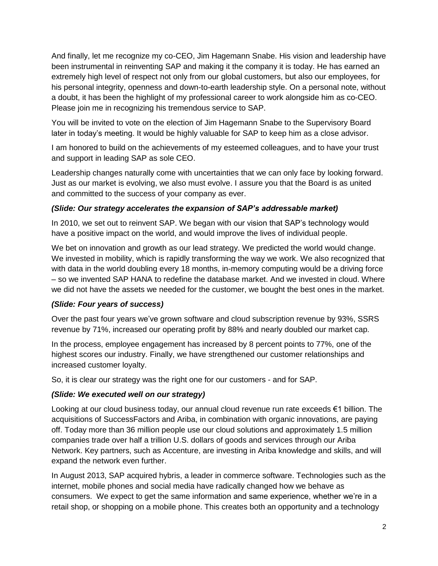And finally, let me recognize my co-CEO, Jim Hagemann Snabe. His vision and leadership have been instrumental in reinventing SAP and making it the company it is today. He has earned an extremely high level of respect not only from our global customers, but also our employees, for his personal integrity, openness and down-to-earth leadership style. On a personal note, without a doubt, it has been the highlight of my professional career to work alongside him as co-CEO. Please join me in recognizing his tremendous service to SAP.

You will be invited to vote on the election of Jim Hagemann Snabe to the Supervisory Board later in today's meeting. It would be highly valuable for SAP to keep him as a close advisor.

I am honored to build on the achievements of my esteemed colleagues, and to have your trust and support in leading SAP as sole CEO.

Leadership changes naturally come with uncertainties that we can only face by looking forward. Just as our market is evolving, we also must evolve. I assure you that the Board is as united and committed to the success of your company as ever.

### *(Slide: Our strategy accelerates the expansion of SAP's addressable market)*

In 2010, we set out to reinvent SAP. We began with our vision that SAP's technology would have a positive impact on the world, and would improve the lives of individual people.

We bet on innovation and growth as our lead strategy. We predicted the world would change. We invested in mobility, which is rapidly transforming the way we work. We also recognized that with data in the world doubling every 18 months, in-memory computing would be a driving force – so we invented SAP HANA to redefine the database market. And we invested in cloud. Where we did not have the assets we needed for the customer, we bought the best ones in the market.

### *(Slide: Four years of success)*

Over the past four years we've grown software and cloud subscription revenue by 93%, SSRS revenue by 71%, increased our operating profit by 88% and nearly doubled our market cap.

In the process, employee engagement has increased by 8 percent points to 77%, one of the highest scores our industry. Finally, we have strengthened our customer relationships and increased customer loyalty.

So, it is clear our strategy was the right one for our customers - and for SAP.

# *(Slide: We executed well on our strategy)*

Looking at our cloud business today, our annual cloud revenue run rate exceeds €1 billion. The acquisitions of SuccessFactors and Ariba, in combination with organic innovations, are paying off. Today more than 36 million people use our cloud solutions and approximately 1.5 million companies trade over half a trillion U.S. dollars of goods and services through our Ariba Network. Key partners, such as Accenture, are investing in Ariba knowledge and skills, and will expand the network even further.

In August 2013, SAP acquired hybris, a leader in commerce software. Technologies such as the internet, mobile phones and social media have radically changed how we behave as consumers. We expect to get the same information and same experience, whether we're in a retail shop, or shopping on a mobile phone. This creates both an opportunity and a technology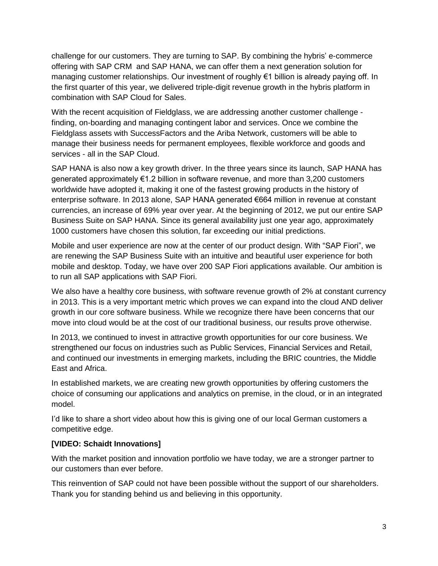challenge for our customers. They are turning to SAP. By combining the hybris' e-commerce offering with SAP CRM and SAP HANA, we can offer them a next generation solution for managing customer relationships. Our investment of roughly €1 billion is already paying off. In the first quarter of this year, we delivered triple-digit revenue growth in the hybris platform in combination with SAP Cloud for Sales.

With the recent acquisition of Fieldglass, we are addressing another customer challenge finding, on-boarding and managing contingent labor and services. Once we combine the Fieldglass assets with SuccessFactors and the Ariba Network, customers will be able to manage their business needs for permanent employees, flexible workforce and goods and services - all in the SAP Cloud.

SAP HANA is also now a key growth driver. In the three years since its launch, SAP HANA has generated approximately €1.2 billion in software revenue, and more than 3,200 customers worldwide have adopted it, making it one of the fastest growing products in the history of enterprise software. In 2013 alone, [SAP](http://www.sapintegratedreport.com/2013/en/about-this-integrated-report/glossary/back/316.html?tx_a21glossaryadvancedoutput_pi1%5bchar%5d=S&no_cache=1) HANA generated €664 million in revenue at constant currencies, an increase of 69% year over year. At the beginning of 2012, we put our entire [SAP](http://www.sapintegratedreport.com/2013/en/about-this-integrated-report/glossary/back/316.html?tx_a21glossaryadvancedoutput_pi1%5bchar%5d=S&no_cache=1) Business Suite on SAP HANA. Since its general availability just one year ago, approximately 1000 customers have chosen this solution, far exceeding our initial predictions.

Mobile and user experience are now at the center of our product design. With "SAP Fiori", we are renewing the SAP Business Suite with an intuitive and beautiful user experience for both mobile and desktop. Today, we have over 200 SAP Fiori applications available. Our ambition is to run all SAP applications with SAP Fiori.

We also have a healthy core business, with software revenue growth of 2% at constant currency in 2013. This is a very important metric which proves we can expand into the cloud AND deliver growth in our core software business. While we recognize there have been concerns that our move into cloud would be at the cost of our traditional business, our results prove otherwise.

In 2013, we continued to invest in attractive growth opportunities for our core business. We strengthened our focus on industries such as Public Services, Financial Services and Retail, and continued our investments in emerging markets, including the BRIC countries, the Middle East and Africa.

In established markets, we are creating new growth opportunities by offering customers the choice of consuming our applications and analytics on premise, in the cloud, or in an integrated model.

I'd like to share a short video about how this is giving one of our local German customers a competitive edge.

### **[VIDEO: Schaidt Innovations]**

With the market position and innovation portfolio we have today, we are a stronger partner to our customers than ever before.

This reinvention of SAP could not have been possible without the support of our shareholders. Thank you for standing behind us and believing in this opportunity.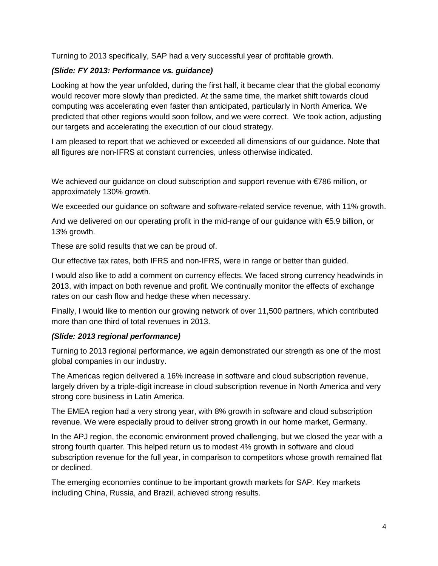Turning to 2013 specifically, SAP had a very successful year of profitable growth.

### *(Slide: FY 2013: Performance vs. guidance)*

Looking at how the year unfolded, during the first half, it became clear that the global economy would recover more slowly than predicted. At the same time, the market shift towards cloud computing was accelerating even faster than anticipated, particularly in North America. We predicted that other regions would soon follow, and we were correct. We took action, adjusting our targets and accelerating the execution of our cloud strategy.

I am pleased to report that we achieved or exceeded all dimensions of our guidance. Note that all figures are non-IFRS at constant currencies, unless otherwise indicated.

We achieved our guidance on cloud subscription and support revenue with €786 million, or approximately 130% growth.

We exceeded our guidance on software and software-related service revenue, with 11% growth.

And we delivered on our operating profit in the mid-range of our guidance with €5.9 billion, or 13% growth.

These are solid results that we can be proud of.

Our effective tax rates, both IFRS and non-IFRS, were in range or better than guided.

I would also like to add a comment on currency effects. We faced strong currency headwinds in 2013, with impact on both revenue and profit. We continually monitor the effects of exchange rates on our cash flow and hedge these when necessary.

Finally, I would like to mention our growing network of over 11,500 partners, which contributed more than one third of total revenues in 2013.

### *(Slide: 2013 regional performance)*

Turning to 2013 regional performance, we again demonstrated our strength as one of the most global companies in our industry.

The Americas region delivered a 16% increase in software and cloud subscription revenue, largely driven by a triple-digit increase in cloud subscription revenue in North America and very strong core business in Latin America.

The EMEA region had a very strong year, with 8% growth in software and cloud subscription revenue. We were especially proud to deliver strong growth in our home market, Germany.

In the APJ region, the economic environment proved challenging, but we closed the year with a strong fourth quarter. This helped return us to modest 4% growth in software and cloud subscription revenue for the full year, in comparison to competitors whose growth remained flat or declined.

The emerging economies continue to be important growth markets for SAP. Key markets including China, Russia, and Brazil, achieved strong results.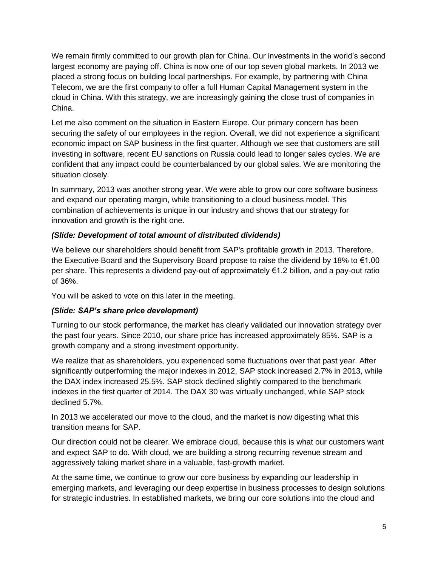We remain firmly committed to our growth plan for China. Our investments in the world's second largest economy are paying off. China is now one of our top seven global markets. In 2013 we placed a strong focus on building local partnerships. For example, by partnering with China Telecom, we are the first company to offer a full Human Capital Management system in the cloud in China. With this strategy, we are increasingly gaining the close trust of companies in China.

Let me also comment on the situation in Eastern Europe. Our primary concern has been securing the safety of our employees in the region. Overall, we did not experience a significant economic impact on SAP business in the first quarter. Although we see that customers are still investing in software, recent EU sanctions on Russia could lead to longer sales cycles. We are confident that any impact could be counterbalanced by our global sales. We are monitoring the situation closely.

In summary, 2013 was another strong year. We were able to grow our core software business and expand our operating margin, while transitioning to a cloud business model. This combination of achievements is unique in our industry and shows that our strategy for innovation and growth is the right one.

### *(Slide: Development of total amount of distributed dividends)*

We believe our shareholders should benefit from SAP's profitable growth in 2013. Therefore, the Executive Board and the Supervisory Board propose to raise the dividend by 18% to €1.00 per share. This represents a dividend pay-out of approximately €1.2 billion, and a pay-out ratio of 36%.

You will be asked to vote on this later in the meeting.

### *(Slide: SAP's share price development)*

Turning to our stock performance, the market has clearly validated our innovation strategy over the past four years. Since 2010, our share price has increased approximately 85%. SAP is a growth company and a strong investment opportunity.

We realize that as shareholders, you experienced some fluctuations over that past year. After significantly outperforming the major indexes in 2012, SAP stock increased 2.7% in 2013, while the DAX index increased 25.5%. SAP stock declined slightly compared to the benchmark indexes in the first quarter of 2014. The DAX 30 was virtually unchanged, while SAP stock declined 5.7%.

In 2013 we accelerated our move to the cloud, and the market is now digesting what this transition means for SAP.

Our direction could not be clearer. We embrace cloud, because this is what our customers want and expect SAP to do. With cloud, we are building a strong recurring revenue stream and aggressively taking market share in a valuable, fast-growth market.

At the same time, we continue to grow our core business by expanding our leadership in emerging markets, and leveraging our deep expertise in business processes to design solutions for strategic industries. In established markets, we bring our core solutions into the cloud and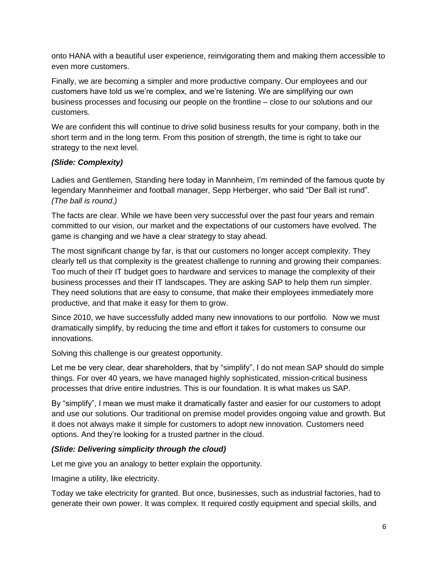onto HANA with a beautiful user experience, reinvigorating them and making them accessible to even more customers.

Finally, we are becoming a simpler and more productive company. Our employees and our customers have told us we're complex, and we're listening. We are simplifying our own business processes and focusing our people on the frontline – close to our solutions and our customers.

We are confident this will continue to drive solid business results for your company, both in the short term and in the long term. From this position of strength, the time is right to take our strategy to the next level.

### *(Slide: Complexity)*

Ladies and Gentlemen, Standing here today in Mannheim, I'm reminded of the famous quote by legendary Mannheimer and football manager, Sepp Herberger, who said "Der Ball ist rund". *(The ball is round.)*

The facts are clear. While we have been very successful over the past four years and remain committed to our vision, our market and the expectations of our customers have evolved. The game is changing and we have a clear strategy to stay ahead.

The most significant change by far, is that our customers no longer accept complexity. They clearly tell us that complexity is the greatest challenge to running and growing their companies. Too much of their IT budget goes to hardware and services to manage the complexity of their business processes and their IT landscapes. They are asking SAP to help them run simpler. They need solutions that are easy to consume, that make their employees immediately more productive, and that make it easy for them to grow.

Since 2010, we have successfully added many new innovations to our portfolio. Now we must dramatically simplify, by reducing the time and effort it takes for customers to consume our innovations.

Solving this challenge is our greatest opportunity.

Let me be very clear, dear shareholders, that by "simplify", I do not mean SAP should do simple things. For over 40 years, we have managed highly sophisticated, mission-critical business processes that drive entire industries. This is our foundation. It is what makes us SAP.

By "simplify", I mean we must make it dramatically faster and easier for our customers to adopt and use our solutions. Our traditional on premise model provides ongoing value and growth. But it does not always make it simple for customers to adopt new innovation. Customers need options. And they're looking for a trusted partner in the cloud.

### *(Slide: Delivering simplicity through the cloud)*

Let me give you an analogy to better explain the opportunity.

Imagine a utility, like electricity.

Today we take electricity for granted. But once, businesses, such as industrial factories, had to generate their own power. It was complex. It required costly equipment and special skills, and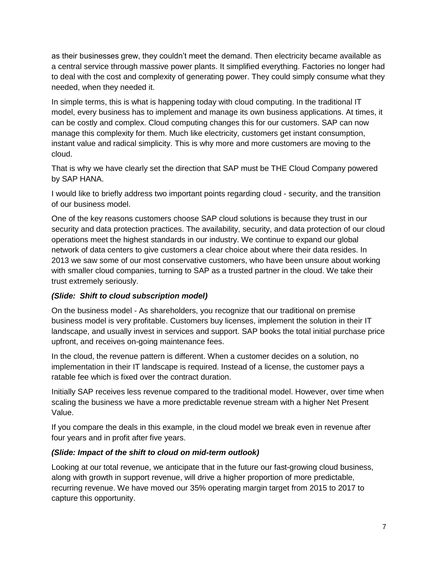as their businesses grew, they couldn't meet the demand. Then electricity became available as a central service through massive power plants. It simplified everything. Factories no longer had to deal with the cost and complexity of generating power. They could simply consume what they needed, when they needed it.

In simple terms, this is what is happening today with cloud computing. In the traditional IT model, every business has to implement and manage its own business applications. At times, it can be costly and complex. Cloud computing changes this for our customers. SAP can now manage this complexity for them. Much like electricity, customers get instant consumption, instant value and radical simplicity. This is why more and more customers are moving to the cloud.

That is why we have clearly set the direction that SAP must be THE Cloud Company powered by SAP HANA.

I would like to briefly address two important points regarding cloud - security, and the transition of our business model.

One of the key reasons customers choose SAP cloud solutions is because they trust in our security and data protection practices. The availability, security, and data protection of our cloud operations meet the highest standards in our [industry.](http://www.sapintegratedreport.com/2013/en/about-this-integrated-report/glossary/back/311.html?tx_a21glossaryadvancedoutput_pi1%5Bchar%5D=i&no_cache=1) We continue to expand our global network of data centers to give customers a clear choice about where their data resides. In 2013 we saw some of our most conservative customers, who have been unsure about working with smaller cloud companies, turning to SAP as a trusted partner in the cloud. We take their trust extremely seriously.

### *(Slide: Shift to cloud subscription model)*

On the business model - As shareholders, you recognize that our traditional on premise business model is very profitable. Customers buy licenses, implement the solution in their IT landscape, and usually invest in services and support. SAP books the total initial purchase price upfront, and receives on-going maintenance fees.

In the cloud, the revenue pattern is different. When a customer decides on a solution, no implementation in their IT landscape is required. Instead of a license, the customer pays a ratable fee which is fixed over the contract duration.

Initially SAP receives less revenue compared to the traditional model. However, over time when scaling the business we have a more predictable revenue stream with a higher Net Present Value.

If you compare the deals in this example, in the cloud model we break even in revenue after four years and in profit after five years.

# *(Slide: Impact of the shift to cloud on mid-term outlook)*

Looking at our total revenue, we anticipate that in the future our fast-growing cloud business, along with growth in support revenue, will drive a higher proportion of more predictable, recurring revenue. We have moved our 35% operating margin target from 2015 to 2017 to capture this opportunity.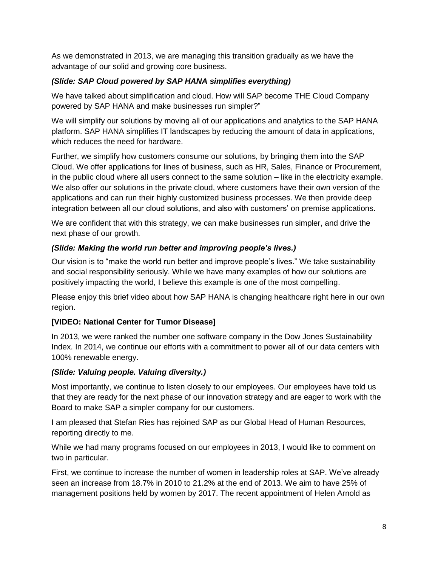As we demonstrated in 2013, we are managing this transition gradually as we have the advantage of our solid and growing core business.

### *(Slide: SAP Cloud powered by SAP HANA simplifies everything)*

We have talked about simplification and cloud. How will SAP become THE Cloud Company powered by SAP HANA and make businesses run simpler?"

We will simplify our solutions by moving all of our applications and analytics to the SAP HANA platform. SAP HANA simplifies IT landscapes by reducing the amount of data in applications, which reduces the need for hardware.

Further, we simplify how customers consume our solutions, by bringing them into the SAP Cloud. We offer applications for lines of business, such as HR, Sales, Finance or Procurement, in the public cloud where all users connect to the same solution – like in the electricity example. We also offer our solutions in the private cloud, where customers have their own version of the applications and can run their highly customized business processes. We then provide deep integration between all our cloud solutions, and also with customers' on premise applications.

We are confident that with this strategy, we can make businesses run simpler, and drive the next phase of our growth.

### *(Slide: Making the world run better and improving people's lives.)*

Our vision is to "make the world run better and improve people's lives." We take sustainability and social responsibility seriously. While we have many examples of how our solutions are positively impacting the world, I believe this example is one of the most compelling.

Please enjoy this brief video about how SAP HANA is changing healthcare right here in our own region.

# **[VIDEO: National Center for Tumor Disease]**

In 2013, we were ranked the number one software company in the Dow Jones Sustainability Index. In 2014, we continue our efforts with a commitment to power all of our data centers with 100% renewable energy.

# *(Slide: Valuing people. Valuing diversity.)*

Most importantly, we continue to listen closely to our employees. Our employees have told us that they are ready for the next phase of our innovation strategy and are eager to work with the Board to make SAP a simpler company for our customers.

I am pleased that Stefan Ries has rejoined SAP as our Global Head of Human Resources, reporting directly to me.

While we had many programs focused on our employees in 2013, I would like to comment on two in particular.

First, we continue to increase the number of women in leadership roles at SAP. We've already seen an increase from 18.7% in 2010 to 21.2% at the end of 2013. We aim to have 25% of management positions held by women by 2017. The recent appointment of Helen Arnold as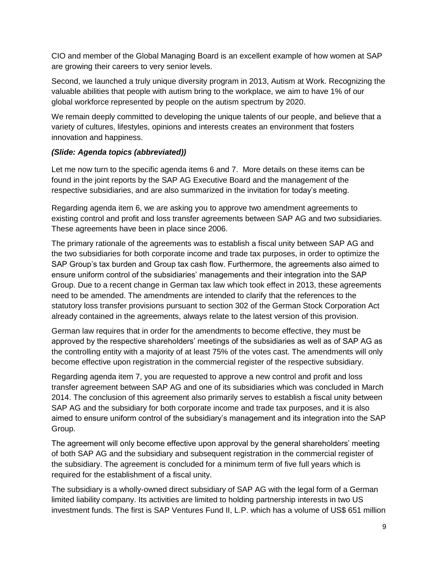CIO and member of the Global Managing Board is an excellent example of how women at SAP are growing their careers to very senior levels.

Second, we launched a truly unique diversity program in 2013, Autism at Work. Recognizing the valuable abilities that people with autism bring to the workplace, we aim to have 1% of our global workforce represented by people on the autism spectrum by 2020.

We remain deeply committed to developing the unique talents of our people, and believe that a variety of cultures, lifestyles, opinions and interests creates an environment that fosters innovation and happiness.

# *(Slide: Agenda topics (abbreviated))*

Let me now turn to the specific agenda items 6 and 7. More details on these items can be found in the joint reports by the SAP AG Executive Board and the management of the respective subsidiaries, and are also summarized in the invitation for today's meeting.

Regarding agenda item 6, we are asking you to approve two amendment agreements to existing control and profit and loss transfer agreements between SAP AG and two subsidiaries. These agreements have been in place since 2006.

The primary rationale of the agreements was to establish a fiscal unity between SAP AG and the two subsidiaries for both corporate income and trade tax purposes, in order to optimize the SAP Group's tax burden and Group tax cash flow. Furthermore, the agreements also aimed to ensure uniform control of the subsidiaries' managements and their integration into the SAP Group. Due to a recent change in German tax law which took effect in 2013, these agreements need to be amended. The amendments are intended to clarify that the references to the statutory loss transfer provisions pursuant to section 302 of the German Stock Corporation Act already contained in the agreements, always relate to the latest version of this provision.

German law requires that in order for the amendments to become effective, they must be approved by the respective shareholders' meetings of the subsidiaries as well as of SAP AG as the controlling entity with a majority of at least 75% of the votes cast. The amendments will only become effective upon registration in the commercial register of the respective subsidiary.

Regarding agenda item 7, you are requested to approve a new control and profit and loss transfer agreement between SAP AG and one of its subsidiaries which was concluded in March 2014. The conclusion of this agreement also primarily serves to establish a fiscal unity between SAP AG and the subsidiary for both corporate income and trade tax purposes, and it is also aimed to ensure uniform control of the subsidiary's management and its integration into the SAP Group.

The agreement will only become effective upon approval by the general shareholders' meeting of both SAP AG and the subsidiary and subsequent registration in the commercial register of the subsidiary. The agreement is concluded for a minimum term of five full years which is required for the establishment of a fiscal unity.

The subsidiary is a wholly-owned direct subsidiary of SAP AG with the legal form of a German limited liability company. Its activities are limited to holding partnership interests in two US investment funds. The first is SAP Ventures Fund II, L.P. which has a volume of US\$ 651 million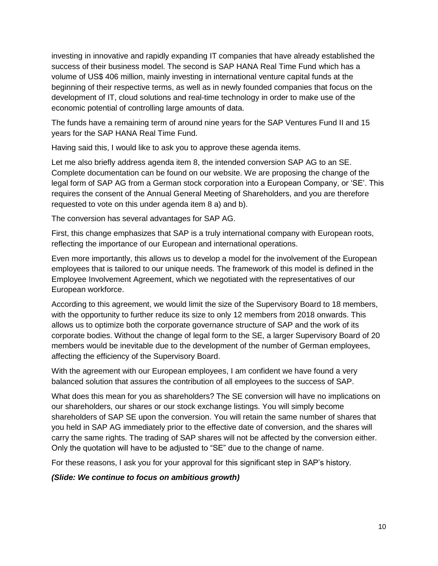investing in innovative and rapidly expanding IT companies that have already established the success of their business model. The second is SAP HANA Real Time Fund which has a volume of US\$ 406 million, mainly investing in international venture capital funds at the beginning of their respective terms, as well as in newly founded companies that focus on the development of IT, cloud solutions and real-time technology in order to make use of the economic potential of controlling large amounts of data.

The funds have a remaining term of around nine years for the SAP Ventures Fund II and 15 years for the SAP HANA Real Time Fund.

Having said this, I would like to ask you to approve these agenda items.

Let me also briefly address agenda item 8, the intended conversion SAP AG to an SE. Complete documentation can be found on our website. We are proposing the change of the legal form of SAP AG from a German stock corporation into a European Company, or 'SE'. This requires the consent of the Annual General Meeting of Shareholders, and you are therefore requested to vote on this under agenda item 8 a) and b).

The conversion has several advantages for SAP AG.

First, this change emphasizes that SAP is a truly international company with European roots, reflecting the importance of our European and international operations.

Even more importantly, this allows us to develop a model for the involvement of the European employees that is tailored to our unique needs. The framework of this model is defined in the Employee Involvement Agreement, which we negotiated with the representatives of our European workforce.

According to this agreement, we would limit the size of the Supervisory Board to 18 members, with the opportunity to further reduce its size to only 12 members from 2018 onwards. This allows us to optimize both the corporate governance structure of SAP and the work of its corporate bodies. Without the change of legal form to the SE, a larger Supervisory Board of 20 members would be inevitable due to the development of the number of German employees, affecting the efficiency of the Supervisory Board.

With the agreement with our European employees, I am confident we have found a very balanced solution that assures the contribution of all employees to the success of SAP.

What does this mean for you as shareholders? The SE conversion will have no implications on our shareholders, our shares or our stock exchange listings. You will simply become shareholders of SAP SE upon the conversion. You will retain the same number of shares that you held in SAP AG immediately prior to the effective date of conversion, and the shares will carry the same rights. The trading of SAP shares will not be affected by the conversion either. Only the quotation will have to be adjusted to "SE" due to the change of name.

For these reasons, I ask you for your approval for this significant step in SAP's history.

*(Slide: We continue to focus on ambitious growth)*